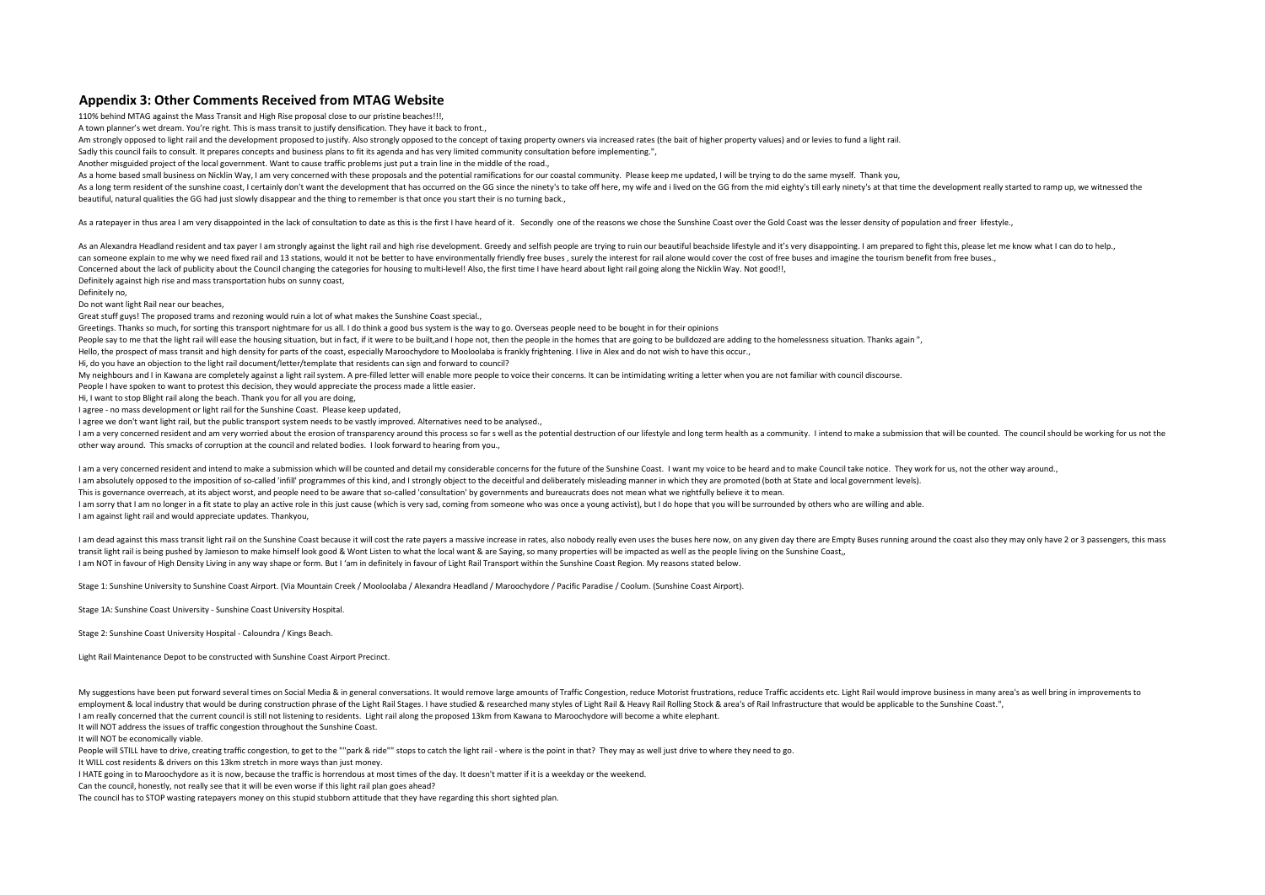## **Appendix 3: Other Comments Received from MTAG Website**

110% behind MTAG against the Mass Transit and High Rise proposal close to our pristine beaches!!!,

A town planner's wet dream. You're right. This is mass transit to justify densification. They have it back to front.,

Am strongly opposed to light rail and the development proposed to justify. Also strongly opposed to the concept of taxing property owners via increased rates (the bait of higher property values) and or levies to fund a lig

Sadly this council fails to consult. It prepares concepts and business plans to fit its agenda and has very limited community consultation before implementing.",

Another misguided project of the local government. Want to cause traffic problems just put a train line in the middle of the road.,

As a home based small business on Nicklin Way, I am very concerned with these proposals and the potential ramifications for our coastal community. Please keep me updated, I will be trying to do the same myself. Thank you,

As a long term resident of the sunshine coast, I certainly don't want the development that has occurred on the GG since the ninety's to take off here, my wife and i lived on the GG from the mid eighty's till early ninety's beautiful, natural qualities the GG had just slowly disappear and the thing to remember is that once you start their is no turning back.,

As a ratepayer in thus area I am very disappointed in the lack of consultation to date as this is the first I have heard of it. Secondly one of the reasons we chose the Sunshine Coast over the Gold Coast was the lesser den

As an Alexandra Headland resident and tax payer I am strongly against the light rail and high rise development. Greedy and selfish people are trying to ruin our beautiful beachside lifestyle and it's very disappointing. I can someone explain to me why we need fixed rail and 13 stations, would it not be better to have environmentally friendly friendly free buses, surely the interest for rail alone would cover the cost of free buses and imagi

Concerned about the lack of publicity about the Council changing the categories for housing to multi-level! Also, the first time I have heard about light rail going along the Nicklin Way. Not good!!,

Definitely against high rise and mass transportation hubs on sunny coast,

Definitely no,

Do not want light Rail near our beaches,

Great stuff guys! The proposed trams and rezoning would ruin a lot of what makes the Sunshine Coast special.,

Greetings. Thanks so much, for sorting this transport nightmare for us all. I do think a good bus system is the way to go. Overseas people need to be bought in for their opinions

People say to me that the light rail will ease the housing situation, but in fact, if it were to be built, and I hope not, then the people in the homes that are going to be bulldozed are adding to the homelessness situatio

Hello, the prospect of mass transit and high density for parts of the coast, especially Maroochydore to Mooloolaba is frankly frightening. I live in Alex and do not wish to have this occur.,

Hi, do you have an objection to the light rail document/letter/template that residents can sign and forward to council?

My neighbours and I in Kawana are completely against a light rail system. A pre-filled letter will enable more people to voice their concerns. It can be intimidating writing a letter when you are not familiar with council

People I have spoken to want to protest this decision, they would appreciate the process made a little easier.

Hi, I want to stop Blight rail along the beach. Thank you for all you are doing,

I agree - no mass development or light rail for the Sunshine Coast. Please keep updated,

I agree we don't want light rail, but the public transport system needs to be vastly improved. Alternatives need to be analysed.,

I am a very concerned resident and am very worried about the erosion of transparency around this process so far s well as the potential destruction of our lifestyle and long term health as a community. I intend to make a s other way around. This smacks of corruption at the council and related bodies. I look forward to hearing from you.,

Lam a very concerned resident and intend to make a submission which will be counted and detail my considerable concerns for the future of the Sunshine Coast. I want my voice to be heard and to make Council take notice. The I am absolutely opposed to the imposition of so-called 'infill' programmes of this kind, and I strongly object to the deceitful and deliberately misleading manner in which they are promoted (both at State and local governm

This is governance overreach, at its abject worst, and people need to be aware that so-called 'consultation' by governments and bureaucrats does not mean what we rightfully believe it to mean.

I am sorry that I am no longer in a fit state to play an active role in this just cause (which is very sad, coming from someone who was once a young activist), but I do hope that you will be surrounded by others who are wi

I am against light rail and would appreciate updates. Thankyou,

I am dead against this mass transit light rail on the Sunshine Coast because it will cost the rate payers a massive increase in rates, also nobody really even uses the buses here now, on any given day there are Empty Buses transit light rail is being pushed by Jamieson to make himself look good & Wont Listen to what the local want & are Saying, so many properties will be impacted as well as the people living on the Sunshine Coast,, I am NOT in favour of High Density Living in any way shape or form. But I 'am in definitely in favour of Light Rail Transport within the Sunshine Coast Region. My reasons stated below.

Stage 1: Sunshine University to Sunshine Coast Airport. (Via Mountain Creek / Mooloolaba / Alexandra Headland / Maroochydore / Pacific Paradise / Coolum. (Sunshine Coast Airport).

Stage 1A: Sunshine Coast University - Sunshine Coast University Hospital.

Stage 2: Sunshine Coast University Hospital - Caloundra / Kings Beach.

Light Rail Maintenance Depot to be constructed with Sunshine Coast Airport Precinct.

My suggestions have been put forward several times on Social Media & in general conversations. It would remove large amounts of Traffic Congestion, reduce Motorist frustrations, reduce Traffic accidents etc. Light Rail wou employment & local industry that would be during construction phrase of the Light Rail Stages. I have studied & researched many styles of Light Rail & Heavy Rail Rolling Stock & area's of Rail Infrastructure that would be

I am really concerned that the current council is still not listening to residents. Light rail along the proposed 13km from Kawana to Maroochydore will become a white elephant.

It will NOT address the issues of traffic congestion throughout the Sunshine Coast.

It will NOT be economically viable.

People will STILL have to drive, creating traffic congestion, to get to the ""park & ride"" stops to catch the light rail - where is the point in that? They may as well just drive to where they need to go.

It WILL cost residents & drivers on this 13km stretch in more ways than just money.

I HATE going in to Maroochydore as it is now, because the traffic is horrendous at most times of the day. It doesn't matter if it is a weekday or the weekend.

Can the council, honestly, not really see that it will be even worse if this light rail plan goes ahead?

The council has to STOP wasting ratepayers money on this stupid stubborn attitude that they have regarding this short sighted plan.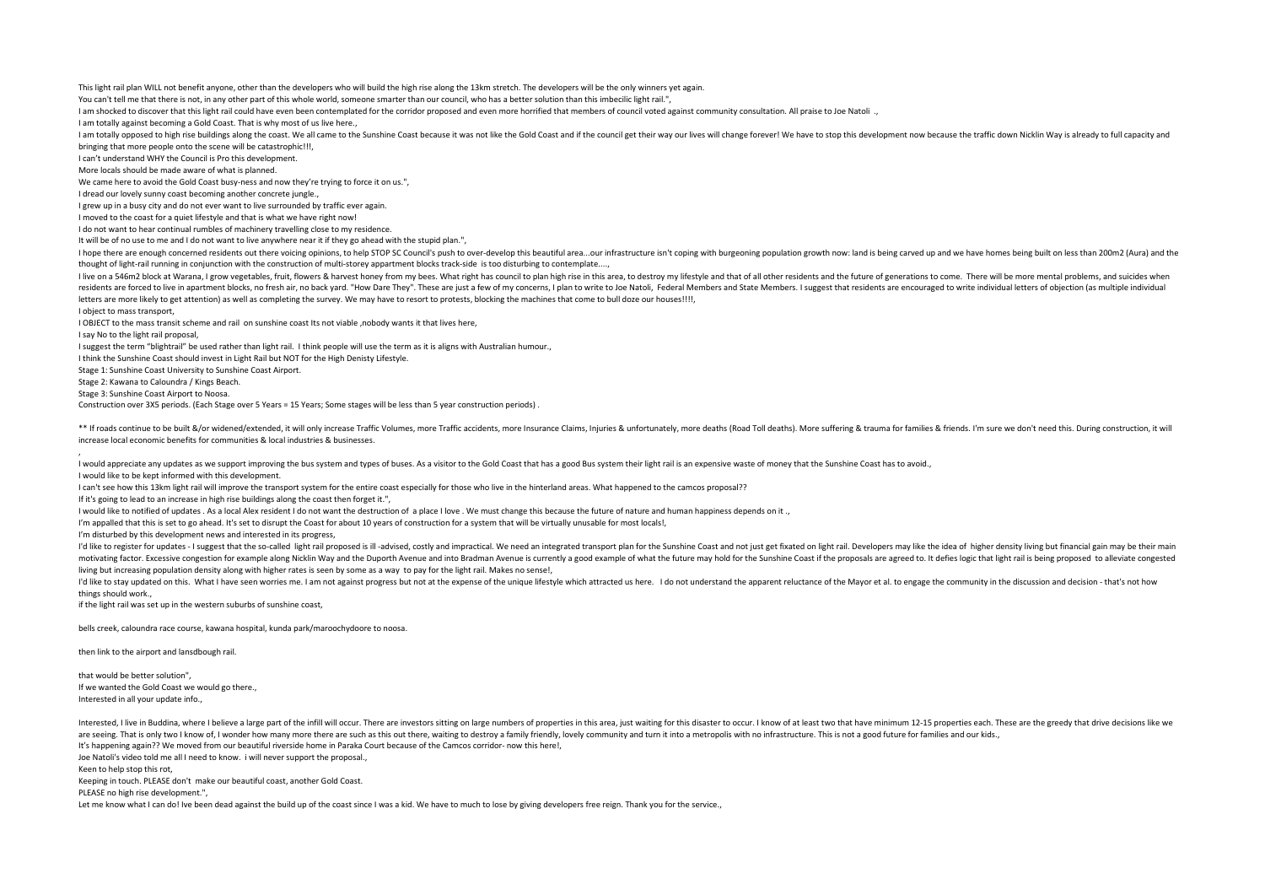This light rail plan WILL not benefit anyone, other than the developers who will build the high rise along the 13km stretch. The developers will be the only winners yet again.

You can't tell me that there is not, in any other part of this whole world, someone smarter than our council, who has a better solution than this imbecilic light rail.",

I am shocked to discover that this light rail could have even been contemplated for the corridor proposed and even more horrified that members of council voted against community consultation. All praise to Joe Natoli .,

I am totally against becoming a Gold Coast. That is why most of us live here.,

I am totally opposed to high rise buildings along the coast. We all came to the Sunshine Coast because it was not like the Gold Coast and if the council get their way our lives will change forever! We have to stop this dev bringing that more people onto the scene will be catastrophic!!!,

I can't understand WHY the Council is Pro this development.

More locals should be made aware of what is planned.

We came here to avoid the Gold Coast busy-ness and now they're trying to force it on us.",

I dread our lovely sunny coast becoming another concrete jungle.,

I grew up in a busy city and do not ever want to live surrounded by traffic ever again.

I moved to the coast for a quiet lifestyle and that is what we have right now!

I do not want to hear continual rumbles of machinery travelling close to my residence.

It will be of no use to me and I do not want to live anywhere near it if they go ahead with the stupid plan.",

I hope there are enough concerned residents out there voicing opinions, to help STOP SC Council's push to over-develop this beautiful area...our infrastructure isn't coping with burgeoning population growth now: land is be thought of light-rail running in conjunction with the construction of multi-storey appartment blocks track-side is too disturbing to contemplate....,

I live on a 546m2 block at Warana, I grow vegetables, fruit, flowers & harvest honey from my bees. What right has council to plan high rise in this area, to destroy my lifestyle and that of all other residents and the futu residents are forced to live in apartment blocks, no fresh air, no back yard. "How Dare They". These are just a few of my concerns, I plan to write to Joe Natoli, Federal Members and State Members. I suggest that residents letters are more likely to get attention) as well as completing the survey. We may have to resort to protests, blocking the machines that come to bull doze our houses!!!!,

I object to mass transport,

,

I OBJECT to the mass transit scheme and rail on sunshine coast Its not viable ,nobody wants it that lives here,

I say No to the light rail proposal,

I suggest the term "blightrail" be used rather than light rail. I think people will use the term as it is aligns with Australian humour.,

I think the Sunshine Coast should invest in Light Rail but NOT for the High Denisty Lifestyle.

Stage 1: Sunshine Coast University to Sunshine Coast Airport.

Stage 2: Kawana to Caloundra / Kings Beach.

Stage 3: Sunshine Coast Airport to Noosa.

Construction over 3X5 periods. (Each Stage over 5 Years = 15 Years; Some stages will be less than 5 year construction periods) .

\*\* If roads continue to be built &/or widened/extended, it will only increase Traffic Volumes, more Traffic accidents, more Insurance Claims, Injuries & unfortunately, more deaths (Road Toll deaths). More suffering & tragg increase local economic benefits for communities & local industries & businesses.

I would appreciate any updates as we support improving the bus system and types of buses. As a visitor to the Gold Coast that has a good Bus system their light rail is an expensive waste of money that the Sunshine Coast ha

I would like to be kept informed with this development.

I can't see how this 13km light rail will improve the transport system for the entire coast especially for those who live in the hinterland areas. What happened to the camcos proposal??

If it's going to lead to an increase in high rise buildings along the coast then forget it.",

I would like to notified of updates . As a local Alex resident I do not want the destruction of a place I love . We must change this because the future of nature and human happiness depends on it .,

I'm appalled that this is set to go ahead. It's set to disrupt the Coast for about 10 years of construction for a system that will be virtually unusable for most locals!,

I'm disturbed by this development news and interested in its progress,

I'd like to register for updates - I suggest that the so-called light rail proposed is ill -advised, costly and impractical. We need an integrated transport plan for the Sunshine Coast and not just get fixated on light rai motivating factor. Excessive congestion for example along Nicklin Way and the Duporth Ayenue and into Bradman Ayenue is currently a good example of what the future may hold for the Sunshine Coast if the proposals are agree living but increasing population density along with higher rates is seen by some as a way to pay for the light rail. Makes no sense!,

I'd like to stay updated on this. What I have seen worries me. I am not against progress but not at the expense of the unique lifestyle which attracted us here. I do not understand the apparent reluctance of the Mayor et a things should work.,

if the light rail was set up in the western suburbs of sunshine coast,

bells creek, caloundra race course, kawana hospital, kunda park/maroochydoore to noosa.

then link to the airport and lansdbough rail.

that would be better solution", If we wanted the Gold Coast we would go there., Interested in all your update info.,

Interested, I live in Buddina, where I believe a large part of the infill will occur. There are investors sitting on large numbers of properties in this area, just waiting for this disaster to occur. I know of at least two are seeing. That is only two I know of. I wonder how many more there are such as this out there, waiting to destroy a family friendly, loyely community and turn it into a metropolis with no infrastructure. This is not a go It's happening again?? We moved from our beautiful riverside home in Paraka Court because of the Camcos corridor- now this here!,

Joe Natoli's video told me all I need to know. i will never support the proposal.,

Keen to help stop this rot,

Keeping in touch. PLEASE don't make our beautiful coast, another Gold Coast.

PLEASE no high rise development.",

Let me know what I can do! Ive been dead against the build up of the coast since I was a kid. We have to much to lose by giving developers free reign. Thank you for the service.,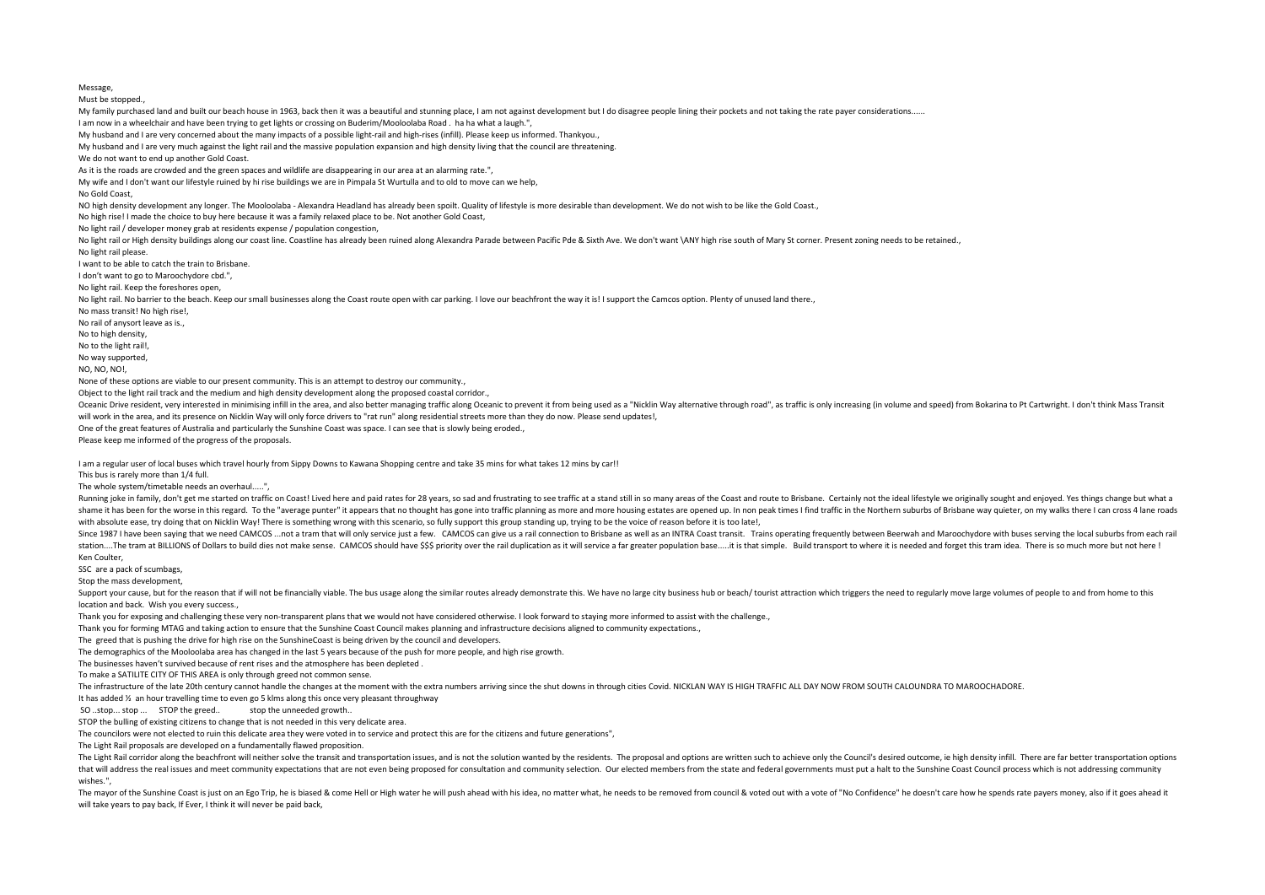Must be stopped. My family purchased land and built our beach house in 1963, back then it was a beautiful and stunning place, I am not against development but I do disagree people lining their pockets and not taking the rate payer consider I am now in a wheelchair and have been trying to get lights or crossing on Buderim/Mooloolaba Road . ha ha what a laugh.", My husband and I are very concerned about the many impacts of a possible light-rail and high-rises (infill). Please keep us informed. Thankyou., My husband and I are very much against the light rail and the massive population expansion and high density living that the council are threatening. We do not want to end up another Gold Coast. As it is the roads are crowded and the green spaces and wildlife are disappearing in our area at an alarming rate.", My wife and I don't want our lifestyle ruined by hi rise buildings we are in Pimpala St Wurtulla and to old to move can we help, No Gold Coast, NO high density development any longer. The Mooloolaba - Alexandra Headland has already been spoilt. Quality of lifestyle is more desirable than development. We do not wish to be like the Gold Coast., No high rise! I made the choice to buy here because it was a family relaxed place to be. Not another Gold Coast, No light rail / developer money grab at residents expense / population congestion, No light rail or High density buildings along our coast line. Coastline has already been ruined along Alexandra Parade between Pacific Pde & Sixth Ave. We don't want \ANY high rise south of Mary St corner. Present zoning n No light rail please. I want to be able to catch the train to Brisbane. I don't want to go to Maroochydore cbd.", No light rail. Keep the foreshores open, No light rail. No barrier to the beach. Keep our small businesses along the Coast route open with car parking. I love our beachfront the way it is! I support the Camcos option. Plenty of unused land there., No mass transit! No high rise!, No rail of anysort leave as is., No to high density, No to the light rail!, No way supported, NO, NO, NO! None of these options are viable to our present community. This is an attempt to destroy our community., Object to the light rail track and the medium and high density development along the proposed coastal corridor., Oceanic Drive resident, very interested in minimising infill in the area, and also better managing traffic along Oceanic to prevent it from being used as a "Nicklin Way alternative through road", as traffic is only increas will work in the area, and its presence on Nicklin Way will only force drivers to "rat run" along residential streets more than they do now. Please send updates!, One of the great features of Australia and particularly the Sunshine Coast was space. I can see that is slowly being eroded., Please keep me informed of the progress of the proposals. I am a regular user of local buses which travel hourly from Sippy Downs to Kawana Shopping centre and take 35 mins for what takes 12 mins by car!! This bus is rarely more than 1/4 full. The whole system/timetable needs an overhaul.....", Running inke in family, don't get me started on traffic on Coast! Lived here and paid rates for 28 years, so sad and frustrating to see traffic at a stand still in so many areas of the Coast and route to Rishane. Certainly shame it has been for the worse in this regard. To the "average punter" it appears that no thought has gone into traffic planning as more and more housing estates are opened up. In non peak times I find traffic in the Nort with absolute ease, try doing that on Nicklin Way! There is something wrong with this scenario, so fully support this group standing up, trying to be the voice of reason before it is too late!, Since 1987 I have been saving that we need CAMCOS ... not a tram that will only service just a few. CAMCOS can give us a rail connection to Brisbane as well as an INTRA Coast transit. Trains operating frequently between Be station....The tram at BILLIONS of Dollars to build dies not make sense. CAMCOS should have \$\$\$ priority over the rail duplication as it will service a far greater population base.....it is that simple. Build transport to Ken Coulter, SSC are a pack of scumbags, Stop the mass development, Support your cause, but for the reason that if will not be financially viable. The bus usage along the similar routes already demonstrate this. We have no large city business hub or beach/ tourist attraction which triggers location and back. Wish you every success., Thank you for exposing and challenging these very non-transparent plans that we would not have considered otherwise. I look forward to staying more informed to assist with the challenge., Thank you for forming MTAG and taking action to ensure that the Sunshine Coast Council makes planning and infrastructure decisions aligned to community expectations., The greed that is pushing the drive for high rise on the SunshineCoast is being driven by the council and developers.

The demographics of the Mooloolaba area has changed in the last 5 years because of the push for more people, and high rise growth.

The businesses haven't survived because of rent rises and the atmosphere has been depleted .

To make a SATILITE CITY OF THIS AREA is only through greed not common sense.

The infrastructure of the late 20th century cannot handle the changes at the moment with the extra numbers arriving since the shut downs in through cities Covid, NICKIAN WAY IS HIGH TRAFFIC ALL DAY NOW FROM SOLITH CALOUNDR

It has added ½ an hour travelling time to even go 5 klms along this once very pleasant throughway

SO ..stop... stop ... STOP the greed.. stop the unneeded growth..

STOP the bulling of existing citizens to change that is not needed in this very delicate area.

The councilors were not elected to ruin this delicate area they were voted in to service and protect this are for the citizens and future generations",

The Light Rail proposals are developed on a fundamentally flawed proposition.

The Light Rail corridor along the beachfront will neither solve the transit and transportation issues, and is not the solution wanted by the residents. The proposal and options are written such to achieve only the Council' that will address the real issues and meet community expectations that are not even being proposed for consultation and community selection. Our elected members from the state and federal governments must put a halt to the wishes.",

The mayor of the Sunshine Coast is just on an Ego Trip, he is biased & come Hell or High water he will push ahead with his idea, no matter what, he needs to be removed from council & voted out with a yote of "No Confidence will take years to pay back, If Ever, I think it will never be paid back,

Message,